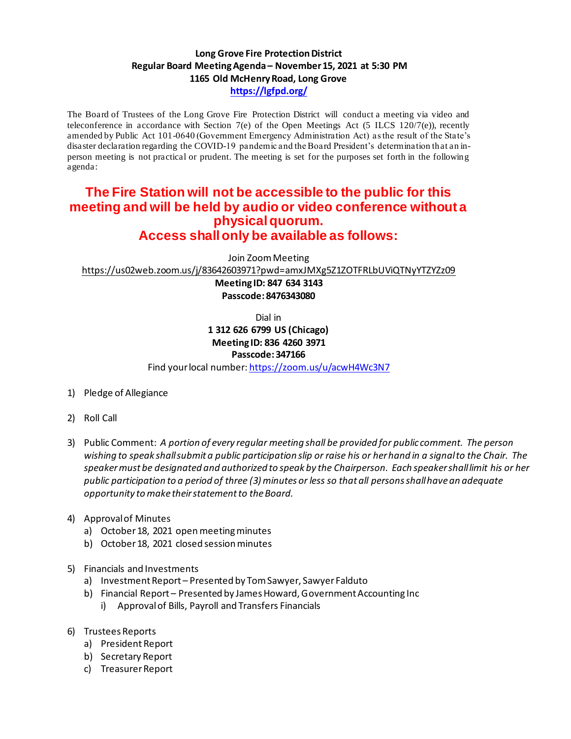## **Long Grove Fire Protection District Regular Board Meeting Agenda– November 15, 2021 at 5:30 PM 1165 Old McHenry Road, Long Grove https://lgfpd.org/**

The Board of Trustees of the Long Grove Fire Protection District will conduct a meeting via video and teleconference in accordance with Section 7(e) of the Open Meetings Act (5 ILCS 120/7(e)), recently amended by Public Act 101-0640 (Government Emergency Administration Act) as the result of the State's disaster declaration regarding the COVID-19 pandemic and the Board President's determination that an inperson meeting is not practical or prudent. The meeting is set for the purposes set forth in the following agenda:

## **The Fire Station will not be accessible to the public for this meeting and will be held by audio or video conference without a physical quorum. Access shall only be available as follows:**

Join Zoom Meeting

https://us02web.zoom.us/j/83642603971?pwd=amxJMXg5Z1ZOTFRLbUViQTNyYTZYZz09

**Meeting ID: 847 634 3143 Passcode: 8476343080**

Dial in

**1 312 626 6799 US (Chicago) Meeting ID: 836 4260 3971**

## **Passcode: 347166**

Find your local number: https://zoom.us/u/acwH4Wc3N7

- 1) Pledge of Allegiance
- 2) Roll Call
- 3) Public Comment: *A portion of every regular meeting shall be provided for public comment. The person wishing to speak shall submit a public participation slip or raise his or her hand in a signal to the Chair. The speaker must be designated and authorized to speak by the Chairperson. Each speaker shall limit his or her public participation to a period of three (3) minutes or less so that all persons shall have an adequate opportunity to make their statement to the Board.*
- 4) Approval of Minutes
	- a) October 18, 2021 open meeting minutes
	- b) October 18, 2021 closed session minutes
- 5) Financials and Investments
	- a) Investment Report Presented by Tom Sawyer, Sawyer Falduto
	- b) Financial Report Presented by James Howard, Government Accounting Inc
		- i) Approval of Bills, Payroll and Transfers Financials
- 6) Trustees Reports
	- a) President Report
	- b) Secretary Report
	- c) Treasurer Report